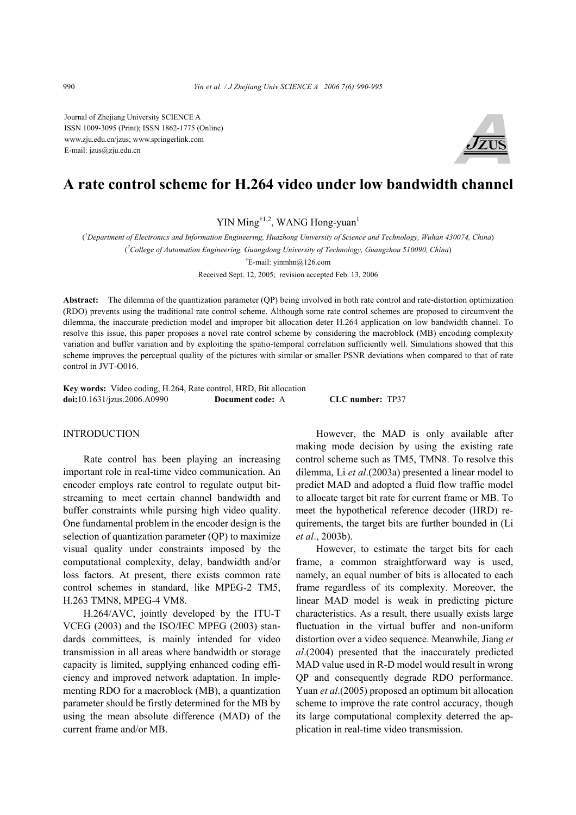Journal of Zhejiang University SCIENCE A ISSN 1009-3095 (Print); ISSN 1862-1775 (Online) www.zju.edu.cn/jzus; www.springerlink.com E-mail: jzus@zju.edu.cn



# **A rate control scheme for H.264 video under low bandwidth channel**

YIN Ming<sup> $\dagger$ 1,2</sup>, WANG Hong-yuan<sup>1</sup>

( *1 Department of Electronics and Information Engineering, Huazhong University of Science and Technology, Wuhan 430074, China*) ( *2 College of Automation Engineering, Guangdong University of Technology, Guangzhou 510090, China*)

† E-mail: yinmhn@126.com

Received Sept. 12, 2005; revision accepted Feb. 13, 2006

**Abstract:** The dilemma of the quantization parameter (QP) being involved in both rate control and rate-distortion optimization (RDO) prevents using the traditional rate control scheme. Although some rate control schemes are proposed to circumvent the dilemma, the inaccurate prediction model and improper bit allocation deter H.264 application on low bandwidth channel. To resolve this issue, this paper proposes a novel rate control scheme by considering the macroblock (MB) encoding complexity variation and buffer variation and by exploiting the spatio-temporal correlation sufficiently well. Simulations showed that this scheme improves the perceptual quality of the pictures with similar or smaller PSNR deviations when compared to that of rate control in JVT-O016.

**Key words:** Video coding, H.264, Rate control, HRD, Bit allocation **doi:**10.1631/jzus.2006.A0990 **Document code:** A **CLC number:** TP37

# INTRODUCTION

Rate control has been playing an increasing important role in real-time video communication. An encoder employs rate control to regulate output bitstreaming to meet certain channel bandwidth and buffer constraints while pursing high video quality. One fundamental problem in the encoder design is the selection of quantization parameter (QP) to maximize visual quality under constraints imposed by the computational complexity, delay, bandwidth and/or loss factors. At present, there exists common rate control schemes in standard, like MPEG-2 TM5, H.263 TMN8, MPEG-4 VM8.

H.264/AVC, jointly developed by the ITU-T VCEG (2003) and the ISO/IEC MPEG (2003) standards committees, is mainly intended for video transmission in all areas where bandwidth or storage capacity is limited, supplying enhanced coding efficiency and improved network adaptation. In implementing RDO for a macroblock (MB), a quantization parameter should be firstly determined for the MB by using the mean absolute difference (MAD) of the current frame and/or MB.

However, the MAD is only available after making mode decision by using the existing rate control scheme such as TM5, TMN8. To resolve this dilemma, Li *et al*.(2003a) presented a linear model to predict MAD and adopted a fluid flow traffic model to allocate target bit rate for current frame or MB. To meet the hypothetical reference decoder (HRD) requirements, the target bits are further bounded in (Li *et al*., 2003b).

However, to estimate the target bits for each frame, a common straightforward way is used, namely, an equal number of bits is allocated to each frame regardless of its complexity. Moreover, the linear MAD model is weak in predicting picture characteristics. As a result, there usually exists large fluctuation in the virtual buffer and non-uniform distortion over a video sequence. Meanwhile, Jiang *et al*.(2004) presented that the inaccurately predicted MAD value used in R-D model would result in wrong QP and consequently degrade RDO performance. Yuan *et al*.(2005) proposed an optimum bit allocation scheme to improve the rate control accuracy, though its large computational complexity deterred the application in real-time video transmission.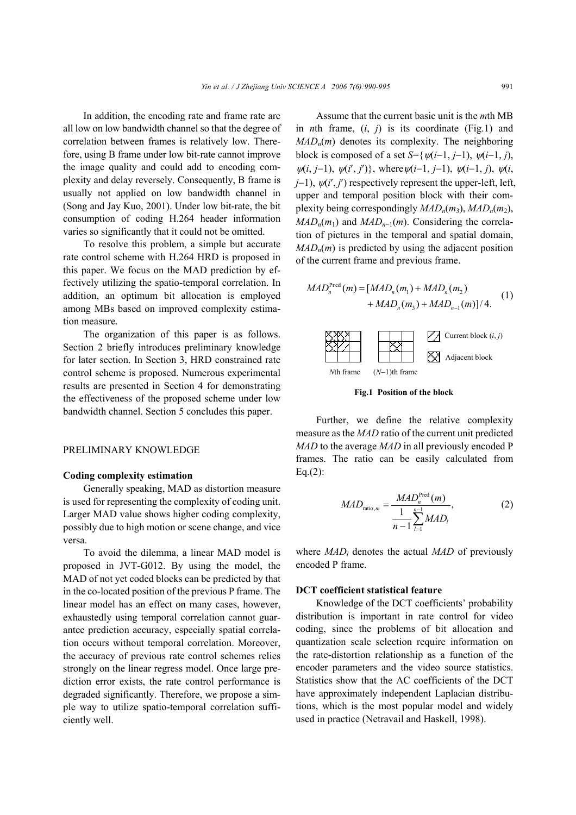In addition, the encoding rate and frame rate are all low on low bandwidth channel so that the degree of correlation between frames is relatively low. Therefore, using B frame under low bit-rate cannot improve the image quality and could add to encoding complexity and delay reversely. Consequently, B frame is usually not applied on low bandwidth channel in (Song and Jay Kuo, 2001). Under low bit-rate, the bit consumption of coding H.264 header information varies so significantly that it could not be omitted.

To resolve this problem, a simple but accurate rate control scheme with H.264 HRD is proposed in this paper. We focus on the MAD prediction by effectively utilizing the spatio-temporal correlation. In addition, an optimum bit allocation is employed among MBs based on improved complexity estimation measure.

The organization of this paper is as follows. Section 2 briefly introduces preliminary knowledge for later section. In Section 3, HRD constrained rate control scheme is proposed. Numerous experimental results are presented in Section 4 for demonstrating the effectiveness of the proposed scheme under low bandwidth channel. Section 5 concludes this paper.

## PRELIMINARY KNOWLEDGE

### **Coding complexity estimation**

Generally speaking, MAD as distortion measure is used for representing the complexity of coding unit. Larger MAD value shows higher coding complexity, possibly due to high motion or scene change, and vice versa.

To avoid the dilemma, a linear MAD model is proposed in JVT-G012. By using the model, the MAD of not yet coded blocks can be predicted by that in the co-located position of the previous P frame. The linear model has an effect on many cases, however, exhaustedly using temporal correlation cannot guarantee prediction accuracy, especially spatial correlation occurs without temporal correlation. Moreover, the accuracy of previous rate control schemes relies strongly on the linear regress model. Once large prediction error exists, the rate control performance is degraded significantly. Therefore, we propose a simple way to utilize spatio-temporal correlation sufficiently well.

Assume that the current basic unit is the *m*th MB in *n*th frame, (*i*, *j*) is its coordinate (Fig.1) and *MAD<sub>n</sub>*(*m*) denotes its complexity. The neighboring block is composed of a set  $S=\{\psi(i-1, j-1), \psi(i-1, j)\}$ ,  $\psi(i, j-1), \psi(i', j')\}$ , where  $\psi(i-1, j-1), \psi(i-1, j)$ ,  $\psi(i, j)$ *j*−1),  $\psi(i', j')$  respectively represent the upper-left, left, upper and temporal position block with their complexity being correspondingly  $MAD_n(m_3)$ ,  $MAD_n(m_2)$ ,  $MAD_n(m_1)$  and  $MAD_{n-1}(m)$ . Considering the correlation of pictures in the temporal and spatial domain,  $MAD_n(m)$  is predicted by using the adjacent position of the current frame and previous frame.

$$
MAD_n^{\text{Pred}}(m) = [MAD_n(m_1) + MAD_n(m_2) + MAD_n(m_3) + MAD_{n-1}(m)]/4.
$$
 (1)



**Fig.1 Position of the block**

Further, we define the relative complexity measure as the *MAD* ratio of the current unit predicted *MAD* to the average *MAD* in all previously encoded P frames. The ratio can be easily calculated from  $Eq.(2):$ 

$$
MAD_{\text{ratio},m} = \frac{MAD_{n}^{\text{Pred}}(m)}{1 - 1 \sum_{l=1}^{n-1} MAD_{l}},
$$
 (2)

where *MAD*<sub>*l*</sub> denotes the actual *MAD* of previously encoded P frame.

## **DCT coefficient statistical feature**

Knowledge of the DCT coefficients' probability distribution is important in rate control for video coding, since the problems of bit allocation and quantization scale selection require information on the rate-distortion relationship as a function of the encoder parameters and the video source statistics. Statistics show that the AC coefficients of the DCT have approximately independent Laplacian distributions, which is the most popular model and widely used in practice (Netravail and Haskell, 1998).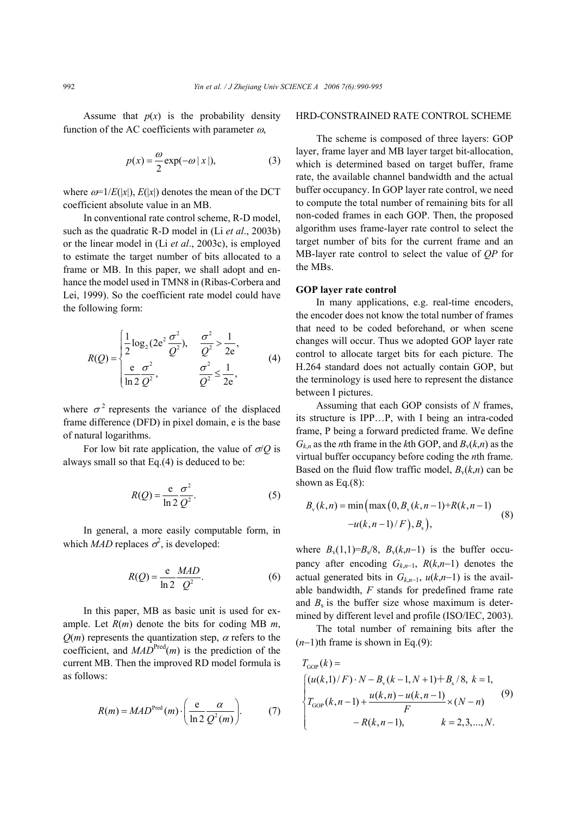Assume that  $p(x)$  is the probability density function of the AC coefficients with parameter  $\omega$ ,

$$
p(x) = \frac{\omega}{2} \exp(-\omega |x|),
$$
 (3)

where  $\omega=1/E(|x|)$ ,  $E(|x|)$  denotes the mean of the DCT coefficient absolute value in an MB.

In conventional rate control scheme, R-D model, such as the quadratic R-D model in (Li *et al*., 2003b) or the linear model in (Li *et al*., 2003c), is employed to estimate the target number of bits allocated to a frame or MB. In this paper, we shall adopt and enhance the model used in TMN8 in (Ribas-Corbera and Lei, 1999). So the coefficient rate model could have the following form:

$$
R(Q) = \begin{cases} \frac{1}{2}\log_2(2e^2\frac{\sigma^2}{Q^2}), & \frac{\sigma^2}{Q^2} > \frac{1}{2e}, \\ \frac{e}{\ln 2}\frac{\sigma^2}{Q^2}, & \frac{\sigma^2}{Q^2} \le \frac{1}{2e}, \end{cases}
$$
(4)

where  $\sigma^2$  represents the variance of the displaced frame difference (DFD) in pixel domain, e is the base of natural logarithms.

For low bit rate application, the value of  $\sigma/Q$  is always small so that Eq.(4) is deduced to be:

$$
R(Q) = \frac{e}{\ln 2} \frac{\sigma^2}{Q^2}.
$$
 (5)

In general, a more easily computable form, in which *MAD* replaces  $\sigma^2$ , is developed:

$$
R(Q) = \frac{e}{\ln 2} \frac{MAD}{Q^2}.
$$
 (6)

In this paper, MB as basic unit is used for example. Let *R*(*m*) denote the bits for coding MB *m*,  $Q(m)$  represents the quantization step,  $\alpha$  refers to the coefficient, and  $MAD<sup>Pred</sup>(m)$  is the prediction of the current MB. Then the improved RD model formula is as follows:

$$
R(m) = MADPred(m) \cdot \left(\frac{e}{\ln 2} \frac{\alpha}{Q^2(m)}\right).
$$
 (7)

### HRD-CONSTRAINED RATE CONTROL SCHEME

The scheme is composed of three layers: GOP layer, frame layer and MB layer target bit-allocation, which is determined based on target buffer, frame rate, the available channel bandwidth and the actual buffer occupancy. In GOP layer rate control, we need to compute the total number of remaining bits for all non-coded frames in each GOP. Then, the proposed algorithm uses frame-layer rate control to select the target number of bits for the current frame and an MB-layer rate control to select the value of *QP* for the MBs.

## **GOP layer rate control**

In many applications, e.g. real-time encoders, the encoder does not know the total number of frames that need to be coded beforehand, or when scene changes will occur. Thus we adopted GOP layer rate control to allocate target bits for each picture. The H.264 standard does not actually contain GOP, but the terminology is used here to represent the distance between I pictures.

Assuming that each GOP consists of *N* frames, its structure is IPP…P, with I being an intra-coded frame, P being a forward predicted frame. We define  $G_{k,n}$  as the *n*th frame in the *k*th GOP, and  $B_v(k,n)$  as the virtual buffer occupancy before coding the *n*th frame. Based on the fluid flow traffic model,  $B_v(k,n)$  can be shown as Eq.(8):

$$
B_{v}(k,n) = \min\left(\max(0, B_{v}(k,n-1)+R(k,n-1)) -u(k,n-1)/F\right), B_{s}\right),\tag{8}
$$

where  $B_v(1,1)=B_s/8$ ,  $B_v(k,n-1)$  is the buffer occupancy after encoding *Gk*,*n*<sup>−</sup>1, *R*(*k*,*n*−1) denotes the actual generated bits in  $G_{k,n-1}$ ,  $u(k,n-1)$  is the available bandwidth, *F* stands for predefined frame rate and  $B_s$  is the buffer size whose maximum is determined by different level and profile (ISO/IEC, 2003).

The total number of remaining bits after the (*n*−1)th frame is shown in Eq.(9):

$$
T_{\text{GOP}}(k) =
$$
\n
$$
\begin{cases}\n(u(k,1)/F) \cdot N - B_{\text{v}}(k-1, N+1) + B_{\text{s}}/8, k = 1, \\
T_{\text{GOP}}(k,n-1) + \frac{u(k,n) - u(k,n-1)}{F} \times (N-n) \\
- R(k,n-1), \quad k = 2,3,...,N.\n\end{cases}
$$
\n(9)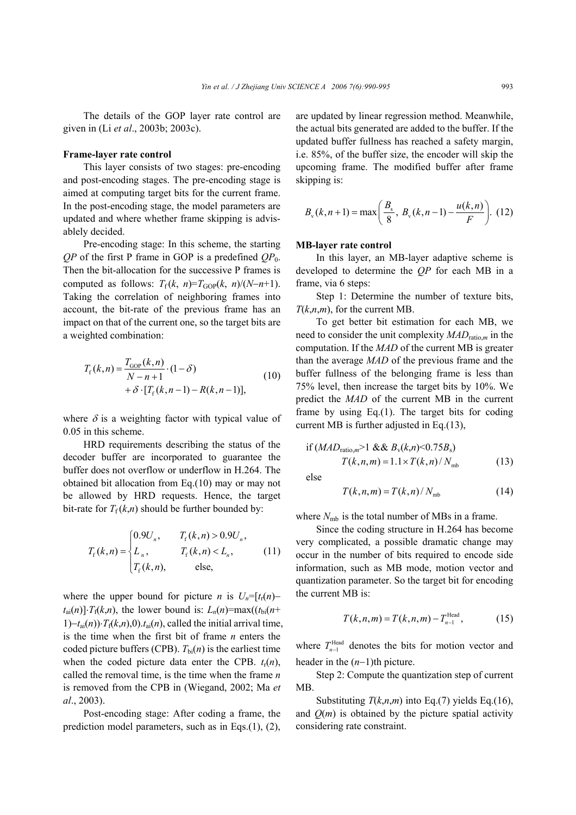The details of the GOP layer rate control are given in (Li *et al*., 2003b; 2003c).

#### **Frame-layer rate control**

This layer consists of two stages: pre-encoding and post-encoding stages. The pre-encoding stage is aimed at computing target bits for the current frame. In the post-encoding stage, the model parameters are updated and where whether frame skipping is advisablely decided.

Pre-encoding stage: In this scheme, the starting  $QP$  of the first P frame in GOP is a predefined  $QP_0$ . Then the bit-allocation for the successive P frames is computed as follows:  $T_f(k, n)=T_{GOP}(k, n)/(N-n+1)$ . Taking the correlation of neighboring frames into account, the bit-rate of the previous frame has an impact on that of the current one, so the target bits are a weighted combination:

$$
T_{\rm f}(k,n) = \frac{T_{\rm GOP}(k,n)}{N-n+1} \cdot (1-\delta) + \delta \cdot [T_{\rm f}(k,n-1) - R(k,n-1)],
$$
 (10)

where  $\delta$  is a weighting factor with typical value of 0.05 in this scheme.

HRD requirements describing the status of the decoder buffer are incorporated to guarantee the buffer does not overflow or underflow in H.264. The obtained bit allocation from Eq.(10) may or may not be allowed by HRD requests. Hence, the target bit-rate for  $T_f(k,n)$  should be further bounded by:

$$
T_{\rm f}(k,n) = \begin{cases} 0.9U_n, & T_{\rm f}(k,n) > 0.9U_n, \\ L_n, & T_{\rm f}(k,n) < L_n, \\ T_{\rm f}(k,n), & \text{else,} \end{cases}
$$
(11)

where the upper bound for picture *n* is  $U_n = [t_n(n)$  $t_{\text{ai}}(n)$ ]⋅*T*<sub>f</sub>(*k,n*), the lower bound is: *L<sub>n</sub>*(*n*)=max(( $t_{\text{bi}}(n+$ 1)− $t_{ai}(n)$ )⋅ $T_f(k,n)$ ,0). $t_{ai}(n)$ , called the initial arrival time, is the time when the first bit of frame *n* enters the coded picture buffers (CPB).  $T_{\text{bi}}(n)$  is the earliest time when the coded picture data enter the CPB.  $t_r(n)$ , called the removal time, is the time when the frame *n*  is removed from the CPB in (Wiegand, 2002; Ma *et al*., 2003).

Post-encoding stage: After coding a frame, the prediction model parameters, such as in Eqs.(1), (2),

are updated by linear regression method. Meanwhile, the actual bits generated are added to the buffer. If the updated buffer fullness has reached a safety margin, i.e. 85%, of the buffer size, the encoder will skip the upcoming frame. The modified buffer after frame skipping is:

$$
B_v(k, n+1) = max\left(\frac{B_s}{8}, B_v(k, n-1) - \frac{u(k, n)}{F}\right).
$$
 (12)

### **MB-layer rate control**

In this layer, an MB-layer adaptive scheme is developed to determine the *QP* for each MB in a frame, via 6 steps:

Step 1: Determine the number of texture bits, *T*(*k*,*n*,*m*), for the current MB.

To get better bit estimation for each MB, we need to consider the unit complexity *MAD*ratio,*m* in the computation. If the *MAD* of the current MB is greater than the average *MAD* of the previous frame and the buffer fullness of the belonging frame is less than 75% level, then increase the target bits by 10%. We predict the *MAD* of the current MB in the current frame by using Eq.(1). The target bits for coding current MB is further adjusted in Eq.(13),

if 
$$
(MAD_{\text{ratio},m} > 1 \& \& B_v(k,n) < 0.75B_s)
$$
  
\n $T(k,n,m) = 1.1 \times T(k,n) / N_{\text{mb}}$  (13)

else

$$
T(k,n,m) = T(k,n) / Nmb
$$
 (14)

where  $N_{\rm mb}$  is the total number of MBs in a frame.

Since the coding structure in H.264 has become very complicated, a possible dramatic change may occur in the number of bits required to encode side information, such as MB mode, motion vector and quantization parameter. So the target bit for encoding the current MB is:

$$
T(k, n, m) = T(k, n, m) - T_{n-1}^{\text{Head}},
$$
 (15)

where  $T_{n-1}^{\text{Head}}$  denotes the bits for motion vector and header in the (*n*−1)th picture.

Step 2: Compute the quantization step of current MB.

Substituting  $T(k,n,m)$  into Eq.(7) yields Eq.(16), and  $Q(m)$  is obtained by the picture spatial activity considering rate constraint.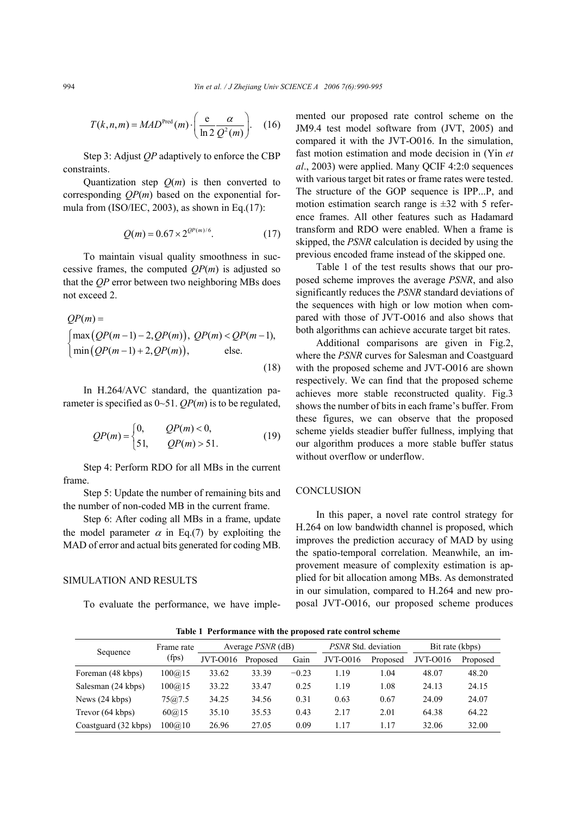$$
T(k, n, m) = MADPred(m) \cdot \left(\frac{e}{\ln 2} \frac{\alpha}{Q^2(m)}\right).
$$
 (16)

Step 3: Adjust *QP* adaptively to enforce the CBP constraints.

Quantization step  $Q(m)$  is then converted to corresponding *QP*(*m*) based on the exponential formula from (ISO/IEC, 2003), as shown in Eq.(17):

$$
Q(m) = 0.67 \times 2^{\mathcal{Q}^p(m)/6}.\tag{17}
$$

To maintain visual quality smoothness in successive frames, the computed  $QP(m)$  is adjusted so that the *QP* error between two neighboring MBs does not exceed 2.

$$
QP(m) =
$$
  
\n
$$
\begin{cases}\n\max (QP(m-1) - 2, QP(m)), & QP(m) < QP(m-1), \\
\min (QP(m-1) + 2, QP(m)), & \text{else.} \n\end{cases}
$$
\n(18)

In H.264/AVC standard, the quantization parameter is specified as 0~51. *QP*(*m*) is to be regulated,

$$
QP(m) = \begin{cases} 0, & QP(m) < 0, \\ 51, & QP(m) > 51. \end{cases}
$$
 (19)

Step 4: Perform RDO for all MBs in the current frame.

Step 5: Update the number of remaining bits and the number of non-coded MB in the current frame.

Step 6: After coding all MBs in a frame, update the model parameter  $\alpha$  in Eq.(7) by exploiting the MAD of error and actual bits generated for coding MB.

## SIMULATION AND RESULTS

To evaluate the performance, we have imple-

mented our proposed rate control scheme on the JM9.4 test model software from (JVT, 2005) and compared it with the JVT-O016. In the simulation, fast motion estimation and mode decision in (Yin *et al*., 2003) were applied. Many QCIF 4:2:0 sequences with various target bit rates or frame rates were tested. The structure of the GOP sequence is IPP...P, and motion estimation search range is  $\pm 32$  with 5 reference frames. All other features such as Hadamard transform and RDO were enabled. When a frame is skipped, the *PSNR* calculation is decided by using the previous encoded frame instead of the skipped one.

Table 1 of the test results shows that our proposed scheme improves the average *PSNR*, and also significantly reduces the *PSNR* standard deviations of the sequences with high or low motion when compared with those of JVT-O016 and also shows that both algorithms can achieve accurate target bit rates.

Additional comparisons are given in Fig.2, where the *PSNR* curves for Salesman and Coastguard with the proposed scheme and JVT-O016 are shown respectively. We can find that the proposed scheme achieves more stable reconstructed quality. Fig.3 shows the number of bits in each frame's buffer. From these figures, we can observe that the proposed scheme yields steadier buffer fullness, implying that our algorithm produces a more stable buffer status without overflow or underflow.

## **CONCLUSION**

In this paper, a novel rate control strategy for H.264 on low bandwidth channel is proposed, which improves the prediction accuracy of MAD by using the spatio-temporal correlation. Meanwhile, an improvement measure of complexity estimation is applied for bit allocation among MBs. As demonstrated in our simulation, compared to H.264 and new proposal JVT-O016, our proposed scheme produces

Sequence Frame rate Average *PSNR* (dB) *PSNR* Std. deviation Bit rate (kbps) *JVT-O016 Proposed* Gain *JVT-O016 Proposed DVT-O016 Proposed* (fps) JVT-O016 Proposed Gain JVT-O016 Proposed JVT-O016 Proposed Foreman (48 kbps) 100@15 33.62 33.39 −0.23 1.19 1.04 48.07 48.20 Salesman (24 kbps)  $100@15$  33.22 33.47 0.25 1.19 1.08 24.13 24.15 News (24 kbps) 75@7.5 34.25 34.56 0.31 0.63 0.67 24.09 24.07 Trevor (64 kbps) 60@15 35.10 35.53 0.43 2.17 2.01 64.38 64.22 Coastguard (32 kbps) 100@10 26.96 27.05 0.09 1.17 1.17 32.06 32.00

**Table 1 Performance with the proposed rate control scheme**